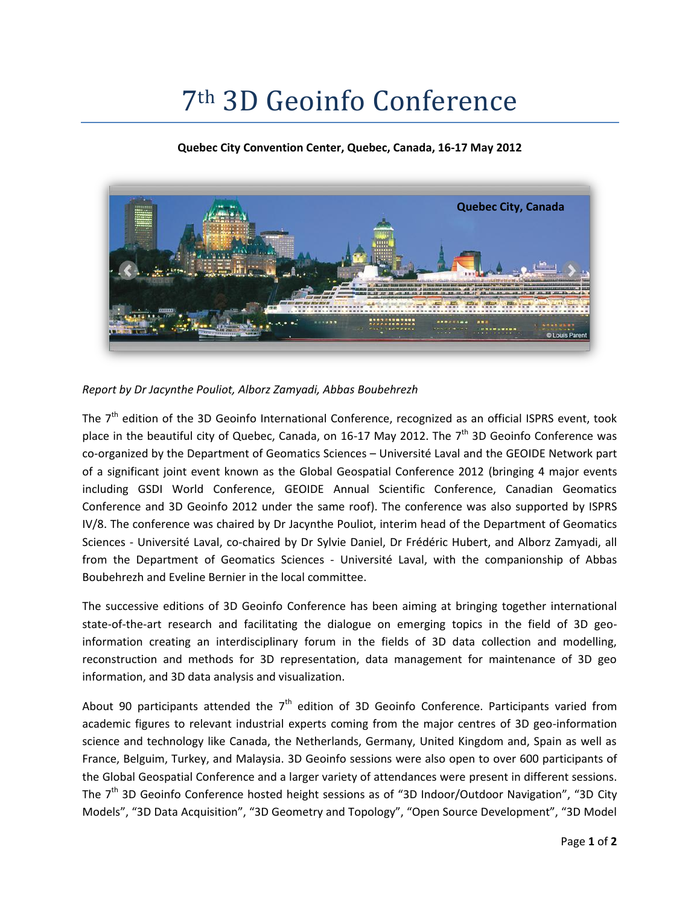## 7th 3D Geoinfo Conference

**Quebec City Convention Center, Quebec, Canada, 16-17 May 2012**



*Report by Dr Jacynthe Pouliot, Alborz Zamyadi, Abbas Boubehrezh*

The  $7<sup>th</sup>$  edition of the 3D Geoinfo International Conference, recognized as an official ISPRS event, took place in the beautiful city of Quebec, Canada, on 16-17 May 2012. The  $7<sup>th</sup>$  3D Geoinfo Conference was co-organized by the Department of Geomatics Sciences – Université Laval and the GEOIDE Network part of a significant joint event known as the Global Geospatial Conference 2012 (bringing 4 major events including GSDI World Conference, GEOIDE Annual Scientific Conference, Canadian Geomatics Conference and 3D Geoinfo 2012 under the same roof). The conference was also supported by ISPRS IV/8. The conference was chaired by Dr Jacynthe Pouliot, interim head of the Department of Geomatics Sciences - Université Laval, co-chaired by Dr Sylvie Daniel, Dr Frédéric Hubert, and Alborz Zamyadi, all from the Department of Geomatics Sciences - Université Laval, with the companionship of Abbas Boubehrezh and Eveline Bernier in the local committee.

The successive editions of 3D Geoinfo Conference has been aiming at bringing together international state-of-the-art research and facilitating the dialogue on emerging topics in the field of 3D geoinformation creating an interdisciplinary forum in the fields of 3D data collection and modelling, reconstruction and methods for 3D representation, data management for maintenance of 3D geo information, and 3D data analysis and visualization.

About 90 participants attended the  $7<sup>th</sup>$  edition of 3D Geoinfo Conference. Participants varied from academic figures to relevant industrial experts coming from the major centres of 3D geo-information science and technology like Canada, the Netherlands, Germany, United Kingdom and, Spain as well as France, Belguim, Turkey, and Malaysia. 3D Geoinfo sessions were also open to over 600 participants of the Global Geospatial Conference and a larger variety of attendances were present in different sessions. The  $7<sup>th</sup>$  3D Geoinfo Conference hosted height sessions as of "3D Indoor/Outdoor Navigation", "3D City Models", "3D Data Acquisition", "3D Geometry and Topology", "Open Source Development", "3D Model